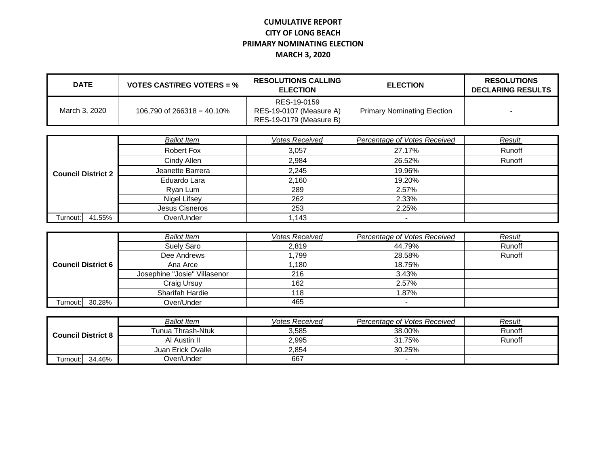## **CUMULATIVE REPORT CITY OF LONG BEACH PRIMARY NOMINATING ELECTION MARCH 3, 2020**

| <b>DATE</b>   | <b>VOTES CAST/REG VOTERS = %</b> | <b>RESOLUTIONS CALLING</b><br><b>ELECTION</b>                     | <b>ELECTION</b>                    | <b>RESOLUTIONS</b><br><b>DECLARING RESULTS</b> |
|---------------|----------------------------------|-------------------------------------------------------------------|------------------------------------|------------------------------------------------|
| March 3, 2020 | 106,790 of 266318 = 40,10%       | RES-19-0159<br>RES-19-0107 (Measure A)<br>RES-19-0179 (Measure B) | <b>Primary Nominating Election</b> |                                                |

| <b>Council District 2</b> | <b>Ballot Item</b> | <b>Votes Received</b> | Percentage of Votes Received | Result |
|---------------------------|--------------------|-----------------------|------------------------------|--------|
|                           | <b>Robert Fox</b>  | 3,057                 | 27.17%                       | Runoff |
|                           | Cindy Allen        | 2,984                 | 26.52%                       | Runoff |
|                           | Jeanette Barrera   | 2,245                 | 19.96%                       |        |
|                           | Eduardo Lara       | 2.160                 | 19.20%                       |        |
|                           | Ryan Lum           | 289                   | 2.57%                        |        |
|                           | Nigel Lifsey       | 262                   | 2.33%                        |        |
|                           | Jesus Cisneros     | 253                   | 2.25%                        |        |
| 41.55%<br>Turnout: I      | Over/Under         | 1,143                 |                              |        |

|                           |                              | <b>Ballot Item</b> | <b>Votes Received</b> | Percentage of Votes Received | Result |
|---------------------------|------------------------------|--------------------|-----------------------|------------------------------|--------|
|                           |                              | Suely Saro         | 2.819                 | 44.79%                       | Runoff |
|                           |                              | Dee Andrews        | .799                  | 28.58%                       | Runoff |
| <b>Council District 6</b> | Ana Arce                     | .180               | 18.75%                |                              |        |
|                           | Josephine "Josie" Villasenor | 216                | 3.43%                 |                              |        |
|                           | Craig Ursuy                  | 162                | 2.57%                 |                              |        |
|                           | Sharifah Hardie              | 118                | 1.87%                 |                              |        |
| Turnout: I                | 30.28%                       | Over/Under         | 465                   | $\overline{\phantom{0}}$     |        |

| <b>Council District 8</b> | <b>Ballot Item</b> | <i><b>Votes Received</b></i> | Percentage of Votes Received | Result |
|---------------------------|--------------------|------------------------------|------------------------------|--------|
|                           | Tunua Thrash-Ntuk  | 3,585                        | 38.00%                       | Runoff |
|                           | Al Austin II       | 2,995                        | 31.75%                       | Runoff |
|                           | Juan Erick Ovalle  | 2,854                        | 30.25%                       |        |
| 34.46%<br>ا:Furnout       | Dver/Under         | 667                          |                              |        |